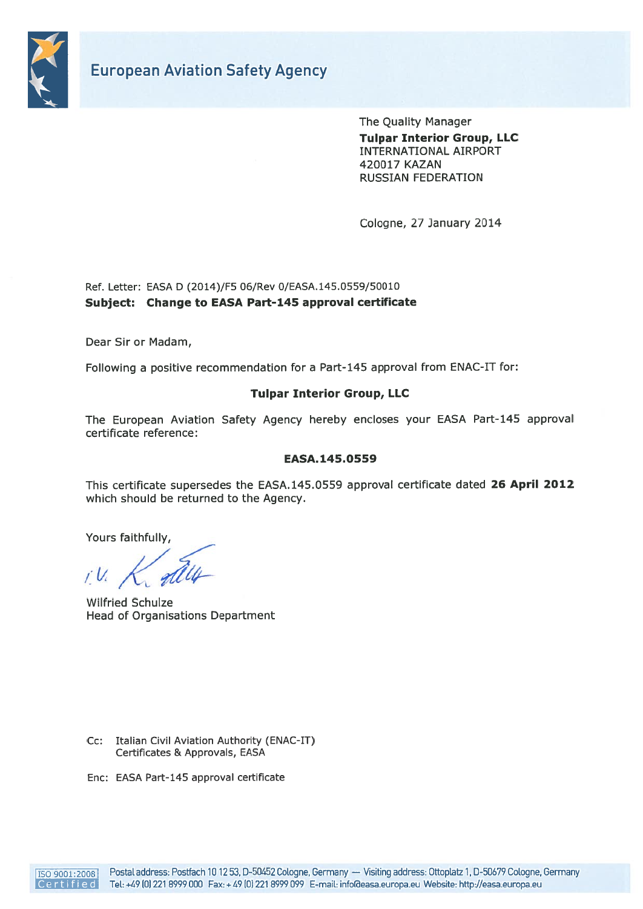

The Quality Manager Tulpar Interior Group, LLC INTERNATIONAL AIRPORT 420017 KAZAN RUSSIAN FEDERATION

Cologne, 27 January 2014

#### Ref. Letter: EASA D (2014)/F5 06/Rev 0/EASA.145.0559/50010 Subject: Change to EASA Part-145 approval certificate

Dear Sir or Madam,

Following <sup>a</sup> positive recommendation for <sup>a</sup> Part-145 approva<sup>l</sup> from ENAC-IT for:

#### Tulpar Interior Group, LLC

The European Aviation Safety Agency hereby encloses your EASA Part-145 approva<sup>l</sup> certificate reference:

#### EASA.145.0559

This certificate supersedes the EASA.145.0559 approva<sup>l</sup> certificate dated 26 April 2012 which should be returned to the Agency. European Aviation Safety Agency<br>
Tripes Interdocences<br>
Tripes Interdocences<br>
Tripes Interdocences<br>
Posta address:<br>
Posta address:<br>
Post Letter: PS6.6 Cotography Germany diseases;<br>
Posta and FCSE address:<br>
Post Sire of Mada

Yours faithfully,

Wilfried Schulze Head of Organisations Department

- Cc: Italian Civil Aviation Authority (ENAC-IT) Certificates & Approvals, EASA
- Enc: EASA Part-145 approval certificate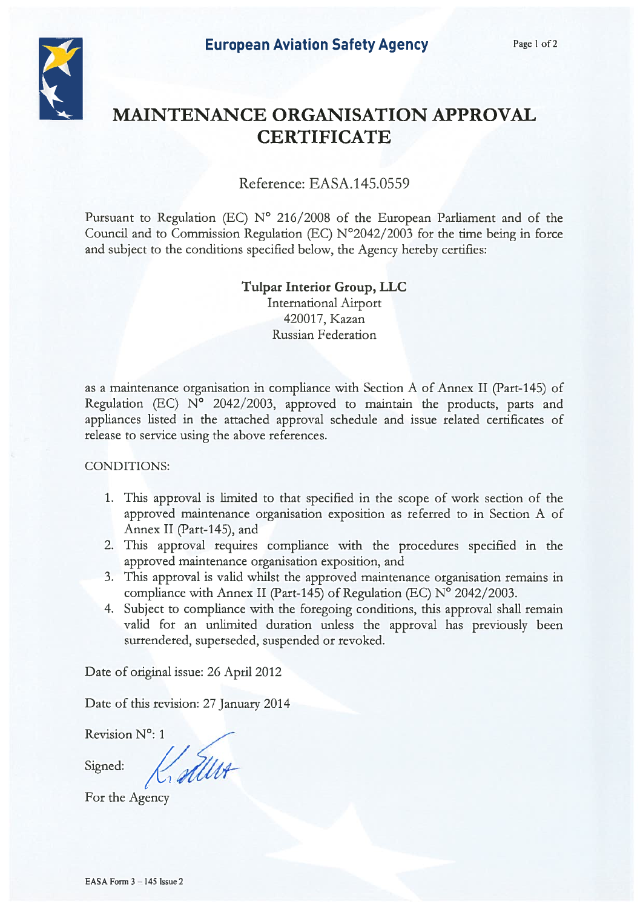

# MAINTENANCE ORGANISATION APPROVAL **CERTIFICATE**

## Reference: EASA.145.0559

Pursuant to Regulation (EC) N° 216/2008 of the European Parliament and of the Council and to Commission Regulation (EC) N°2042/2003 for the time being in force and subject to the conditions specified below, the Agency hereby certifies:

## Tulpar Interior Group, LLC International Airport 420017, Kazan Russian Federation

as <sup>a</sup> maintenance organisation in compliance with Section A of Annex II (Part-145) of Regulation (EC) N° 2042/2003, approved to maintain the products, parts and appliances listed in the attached approval schedule and issue related certificates of release to service using the above references.

CONDITIONS:

- 1. This approval is limited to that specified in the scope of work section of the approved maintenance organisation exposition as referred to in Section A of Annex II (Part-145), and
- 2. This approval requires compliance with the procedures specified in the approved maintenance organisation exposition, and
- 3. This approval is valid whilst the approved maintenance organisation remains in compliance with Annex II (Part-145) of Regulation (EC) N° 2042/2003.
- 4. Subject to compliance with the foregoing conditions, this approval shall remain valid for an unlimited duration unless the approval has previously been surrendered, superseded, suspended or revoked.

Date of original issue: 26 April 2012

Date of this revision: 27 January 2014

Revision N°: 1

Signed:

Køller

For the Agency